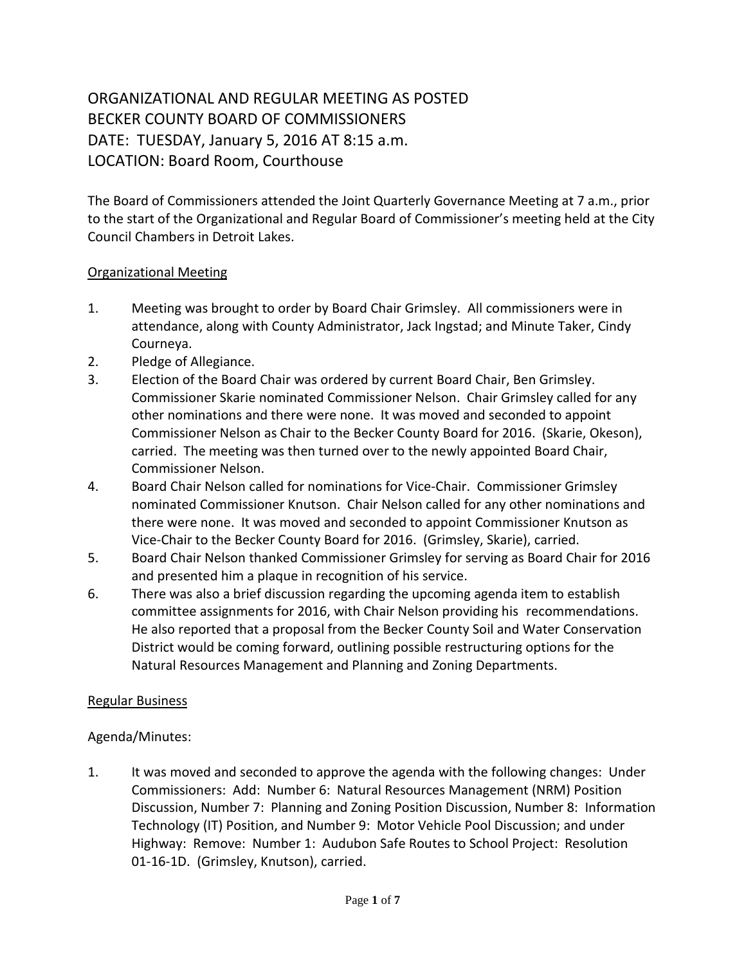# ORGANIZATIONAL AND REGULAR MEETING AS POSTED BECKER COUNTY BOARD OF COMMISSIONERS DATE: TUESDAY, January 5, 2016 AT 8:15 a.m. LOCATION: Board Room, Courthouse

The Board of Commissioners attended the Joint Quarterly Governance Meeting at 7 a.m., prior to the start of the Organizational and Regular Board of Commissioner's meeting held at the City Council Chambers in Detroit Lakes.

## Organizational Meeting

- 1. Meeting was brought to order by Board Chair Grimsley. All commissioners were in attendance, along with County Administrator, Jack Ingstad; and Minute Taker, Cindy Courneya.
- 2. Pledge of Allegiance.
- 3. Election of the Board Chair was ordered by current Board Chair, Ben Grimsley. Commissioner Skarie nominated Commissioner Nelson. Chair Grimsley called for any other nominations and there were none. It was moved and seconded to appoint Commissioner Nelson as Chair to the Becker County Board for 2016. (Skarie, Okeson), carried. The meeting was then turned over to the newly appointed Board Chair, Commissioner Nelson.
- 4. Board Chair Nelson called for nominations for Vice-Chair. Commissioner Grimsley nominated Commissioner Knutson. Chair Nelson called for any other nominations and there were none. It was moved and seconded to appoint Commissioner Knutson as Vice-Chair to the Becker County Board for 2016. (Grimsley, Skarie), carried.
- 5. Board Chair Nelson thanked Commissioner Grimsley for serving as Board Chair for 2016 and presented him a plaque in recognition of his service.
- 6. There was also a brief discussion regarding the upcoming agenda item to establish committee assignments for 2016, with Chair Nelson providing his recommendations. He also reported that a proposal from the Becker County Soil and Water Conservation District would be coming forward, outlining possible restructuring options for the Natural Resources Management and Planning and Zoning Departments.

#### Regular Business

## Agenda/Minutes:

1. It was moved and seconded to approve the agenda with the following changes: Under Commissioners: Add: Number 6: Natural Resources Management (NRM) Position Discussion, Number 7: Planning and Zoning Position Discussion, Number 8: Information Technology (IT) Position, and Number 9: Motor Vehicle Pool Discussion; and under Highway: Remove: Number 1: Audubon Safe Routes to School Project: Resolution 01-16-1D. (Grimsley, Knutson), carried.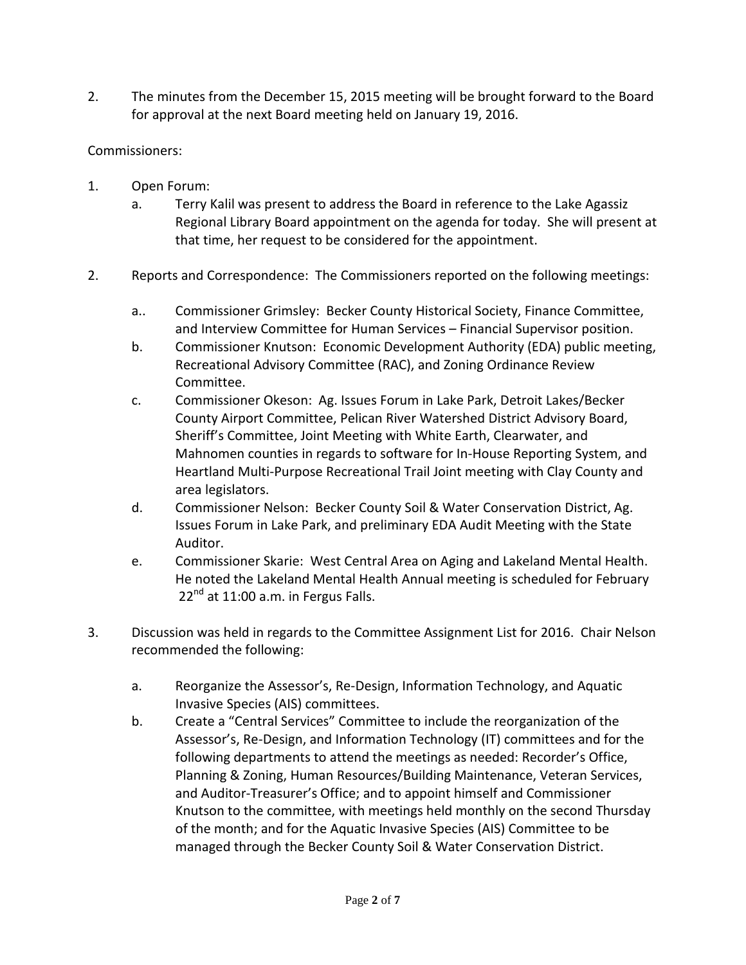2. The minutes from the December 15, 2015 meeting will be brought forward to the Board for approval at the next Board meeting held on January 19, 2016.

## Commissioners:

- 1. Open Forum:
	- a. Terry Kalil was present to address the Board in reference to the Lake Agassiz Regional Library Board appointment on the agenda for today. She will present at that time, her request to be considered for the appointment.
- 2. Reports and Correspondence: The Commissioners reported on the following meetings:
	- a.. Commissioner Grimsley: Becker County Historical Society, Finance Committee, and Interview Committee for Human Services – Financial Supervisor position.
	- b. Commissioner Knutson: Economic Development Authority (EDA) public meeting, Recreational Advisory Committee (RAC), and Zoning Ordinance Review Committee.
	- c. Commissioner Okeson: Ag. Issues Forum in Lake Park, Detroit Lakes/Becker County Airport Committee, Pelican River Watershed District Advisory Board, Sheriff's Committee, Joint Meeting with White Earth, Clearwater, and Mahnomen counties in regards to software for In-House Reporting System, and Heartland Multi-Purpose Recreational Trail Joint meeting with Clay County and area legislators.
	- d. Commissioner Nelson: Becker County Soil & Water Conservation District, Ag. Issues Forum in Lake Park, and preliminary EDA Audit Meeting with the State Auditor.
	- e. Commissioner Skarie: West Central Area on Aging and Lakeland Mental Health. He noted the Lakeland Mental Health Annual meeting is scheduled for February 22<sup>nd</sup> at 11:00 a.m. in Fergus Falls.
- 3. Discussion was held in regards to the Committee Assignment List for 2016. Chair Nelson recommended the following:
	- a. Reorganize the Assessor's, Re-Design, Information Technology, and Aquatic Invasive Species (AIS) committees.
	- b. Create a "Central Services" Committee to include the reorganization of the Assessor's, Re-Design, and Information Technology (IT) committees and for the following departments to attend the meetings as needed: Recorder's Office, Planning & Zoning, Human Resources/Building Maintenance, Veteran Services, and Auditor-Treasurer's Office; and to appoint himself and Commissioner Knutson to the committee, with meetings held monthly on the second Thursday of the month; and for the Aquatic Invasive Species (AIS) Committee to be managed through the Becker County Soil & Water Conservation District.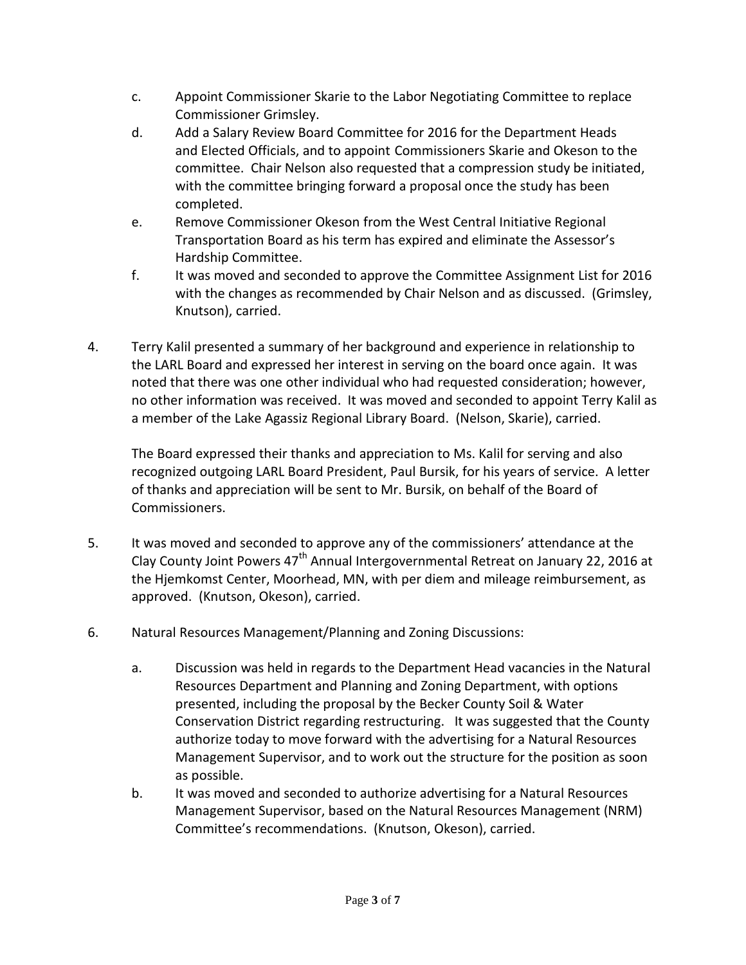- c. Appoint Commissioner Skarie to the Labor Negotiating Committee to replace Commissioner Grimsley.
- d. Add a Salary Review Board Committee for 2016 for the Department Heads and Elected Officials, and to appoint Commissioners Skarie and Okeson to the committee. Chair Nelson also requested that a compression study be initiated, with the committee bringing forward a proposal once the study has been completed.
- e. Remove Commissioner Okeson from the West Central Initiative Regional Transportation Board as his term has expired and eliminate the Assessor's Hardship Committee.
- f. It was moved and seconded to approve the Committee Assignment List for 2016 with the changes as recommended by Chair Nelson and as discussed. (Grimsley, Knutson), carried.
- 4. Terry Kalil presented a summary of her background and experience in relationship to the LARL Board and expressed her interest in serving on the board once again. It was noted that there was one other individual who had requested consideration; however, no other information was received. It was moved and seconded to appoint Terry Kalil as a member of the Lake Agassiz Regional Library Board. (Nelson, Skarie), carried.

The Board expressed their thanks and appreciation to Ms. Kalil for serving and also recognized outgoing LARL Board President, Paul Bursik, for his years of service. A letter of thanks and appreciation will be sent to Mr. Bursik, on behalf of the Board of Commissioners.

- 5. It was moved and seconded to approve any of the commissioners' attendance at the Clay County Joint Powers 47<sup>th</sup> Annual Intergovernmental Retreat on January 22, 2016 at the Hjemkomst Center, Moorhead, MN, with per diem and mileage reimbursement, as approved. (Knutson, Okeson), carried.
- 6. Natural Resources Management/Planning and Zoning Discussions:
	- a. Discussion was held in regards to the Department Head vacancies in the Natural Resources Department and Planning and Zoning Department, with options presented, including the proposal by the Becker County Soil & Water Conservation District regarding restructuring. It was suggested that the County authorize today to move forward with the advertising for a Natural Resources Management Supervisor, and to work out the structure for the position as soon as possible.
	- b. It was moved and seconded to authorize advertising for a Natural Resources Management Supervisor, based on the Natural Resources Management (NRM) Committee's recommendations. (Knutson, Okeson), carried.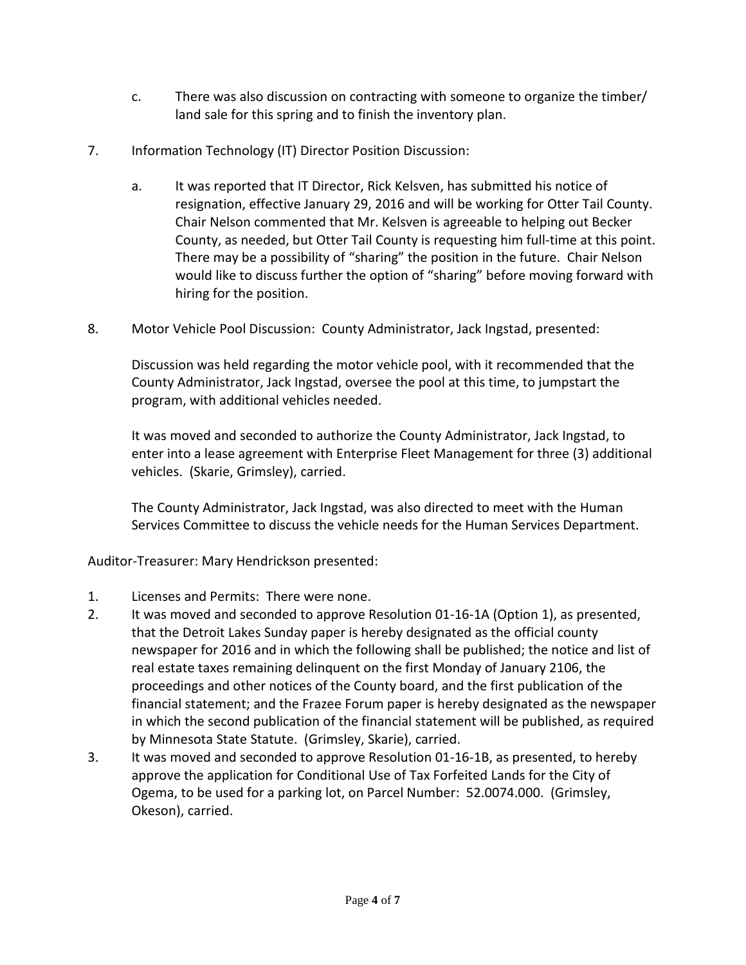- c. There was also discussion on contracting with someone to organize the timber/ land sale for this spring and to finish the inventory plan.
- 7. Information Technology (IT) Director Position Discussion:
	- a. It was reported that IT Director, Rick Kelsven, has submitted his notice of resignation, effective January 29, 2016 and will be working for Otter Tail County. Chair Nelson commented that Mr. Kelsven is agreeable to helping out Becker County, as needed, but Otter Tail County is requesting him full-time at this point. There may be a possibility of "sharing" the position in the future. Chair Nelson would like to discuss further the option of "sharing" before moving forward with hiring for the position.
- 8. Motor Vehicle Pool Discussion: County Administrator, Jack Ingstad, presented:

Discussion was held regarding the motor vehicle pool, with it recommended that the County Administrator, Jack Ingstad, oversee the pool at this time, to jumpstart the program, with additional vehicles needed.

It was moved and seconded to authorize the County Administrator, Jack Ingstad, to enter into a lease agreement with Enterprise Fleet Management for three (3) additional vehicles. (Skarie, Grimsley), carried.

The County Administrator, Jack Ingstad, was also directed to meet with the Human Services Committee to discuss the vehicle needs for the Human Services Department.

Auditor-Treasurer: Mary Hendrickson presented:

- 1. Licenses and Permits: There were none.
- 2. It was moved and seconded to approve Resolution 01-16-1A (Option 1), as presented, that the Detroit Lakes Sunday paper is hereby designated as the official county newspaper for 2016 and in which the following shall be published; the notice and list of real estate taxes remaining delinquent on the first Monday of January 2106, the proceedings and other notices of the County board, and the first publication of the financial statement; and the Frazee Forum paper is hereby designated as the newspaper in which the second publication of the financial statement will be published, as required by Minnesota State Statute. (Grimsley, Skarie), carried.
- 3. It was moved and seconded to approve Resolution 01-16-1B, as presented, to hereby approve the application for Conditional Use of Tax Forfeited Lands for the City of Ogema, to be used for a parking lot, on Parcel Number: 52.0074.000. (Grimsley, Okeson), carried.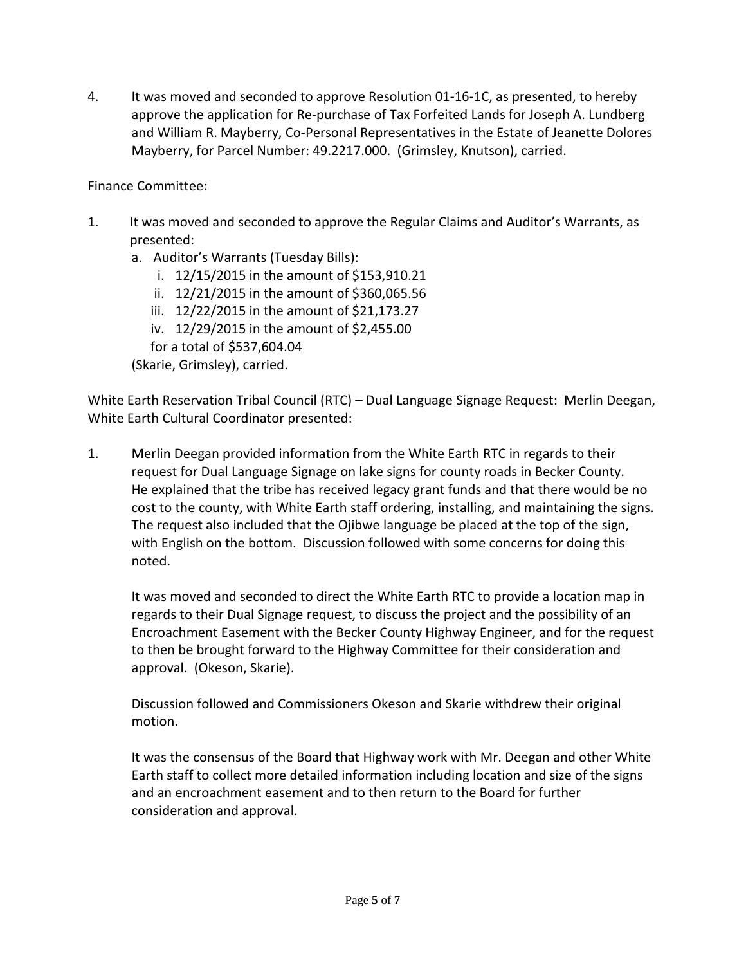4. It was moved and seconded to approve Resolution 01-16-1C, as presented, to hereby approve the application for Re-purchase of Tax Forfeited Lands for Joseph A. Lundberg and William R. Mayberry, Co-Personal Representatives in the Estate of Jeanette Dolores Mayberry, for Parcel Number: 49.2217.000. (Grimsley, Knutson), carried.

Finance Committee:

- 1. It was moved and seconded to approve the Regular Claims and Auditor's Warrants, as presented:
	- a. Auditor's Warrants (Tuesday Bills):
		- i. 12/15/2015 in the amount of \$153,910.21
		- ii. 12/21/2015 in the amount of \$360,065.56
		- iii. 12/22/2015 in the amount of \$21,173.27
		- iv. 12/29/2015 in the amount of \$2,455.00
		- for a total of \$537,604.04

(Skarie, Grimsley), carried.

White Earth Reservation Tribal Council (RTC) – Dual Language Signage Request: Merlin Deegan, White Earth Cultural Coordinator presented:

1. Merlin Deegan provided information from the White Earth RTC in regards to their request for Dual Language Signage on lake signs for county roads in Becker County. He explained that the tribe has received legacy grant funds and that there would be no cost to the county, with White Earth staff ordering, installing, and maintaining the signs. The request also included that the Ojibwe language be placed at the top of the sign, with English on the bottom. Discussion followed with some concerns for doing this noted.

It was moved and seconded to direct the White Earth RTC to provide a location map in regards to their Dual Signage request, to discuss the project and the possibility of an Encroachment Easement with the Becker County Highway Engineer, and for the request to then be brought forward to the Highway Committee for their consideration and approval. (Okeson, Skarie).

Discussion followed and Commissioners Okeson and Skarie withdrew their original motion.

It was the consensus of the Board that Highway work with Mr. Deegan and other White Earth staff to collect more detailed information including location and size of the signs and an encroachment easement and to then return to the Board for further consideration and approval.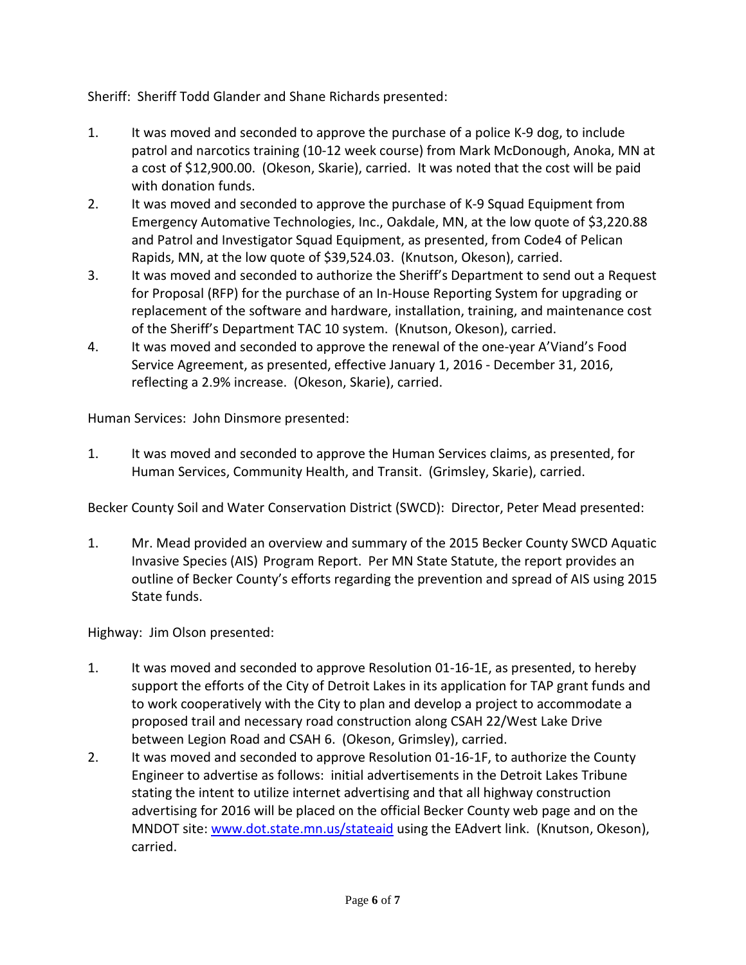Sheriff: Sheriff Todd Glander and Shane Richards presented:

- 1. It was moved and seconded to approve the purchase of a police K-9 dog, to include patrol and narcotics training (10-12 week course) from Mark McDonough, Anoka, MN at a cost of \$12,900.00. (Okeson, Skarie), carried. It was noted that the cost will be paid with donation funds.
- 2. It was moved and seconded to approve the purchase of K-9 Squad Equipment from Emergency Automative Technologies, Inc., Oakdale, MN, at the low quote of \$3,220.88 and Patrol and Investigator Squad Equipment, as presented, from Code4 of Pelican Rapids, MN, at the low quote of \$39,524.03. (Knutson, Okeson), carried.
- 3. It was moved and seconded to authorize the Sheriff's Department to send out a Request for Proposal (RFP) for the purchase of an In-House Reporting System for upgrading or replacement of the software and hardware, installation, training, and maintenance cost of the Sheriff's Department TAC 10 system. (Knutson, Okeson), carried.
- 4. It was moved and seconded to approve the renewal of the one-year A'Viand's Food Service Agreement, as presented, effective January 1, 2016 - December 31, 2016, reflecting a 2.9% increase. (Okeson, Skarie), carried.

Human Services: John Dinsmore presented:

1. It was moved and seconded to approve the Human Services claims, as presented, for Human Services, Community Health, and Transit. (Grimsley, Skarie), carried.

Becker County Soil and Water Conservation District (SWCD): Director, Peter Mead presented:

1. Mr. Mead provided an overview and summary of the 2015 Becker County SWCD Aquatic Invasive Species (AIS) Program Report. Per MN State Statute, the report provides an outline of Becker County's efforts regarding the prevention and spread of AIS using 2015 State funds.

Highway: Jim Olson presented:

- 1. It was moved and seconded to approve Resolution 01-16-1E, as presented, to hereby support the efforts of the City of Detroit Lakes in its application for TAP grant funds and to work cooperatively with the City to plan and develop a project to accommodate a proposed trail and necessary road construction along CSAH 22/West Lake Drive between Legion Road and CSAH 6. (Okeson, Grimsley), carried.
- 2. It was moved and seconded to approve Resolution 01-16-1F, to authorize the County Engineer to advertise as follows: initial advertisements in the Detroit Lakes Tribune stating the intent to utilize internet advertising and that all highway construction advertising for 2016 will be placed on the official Becker County web page and on the MNDOT site: [www.dot.state.mn.us/stateaid](http://www.dot.state.mn.us/stateaid) using the EAdvert link. (Knutson, Okeson), carried.